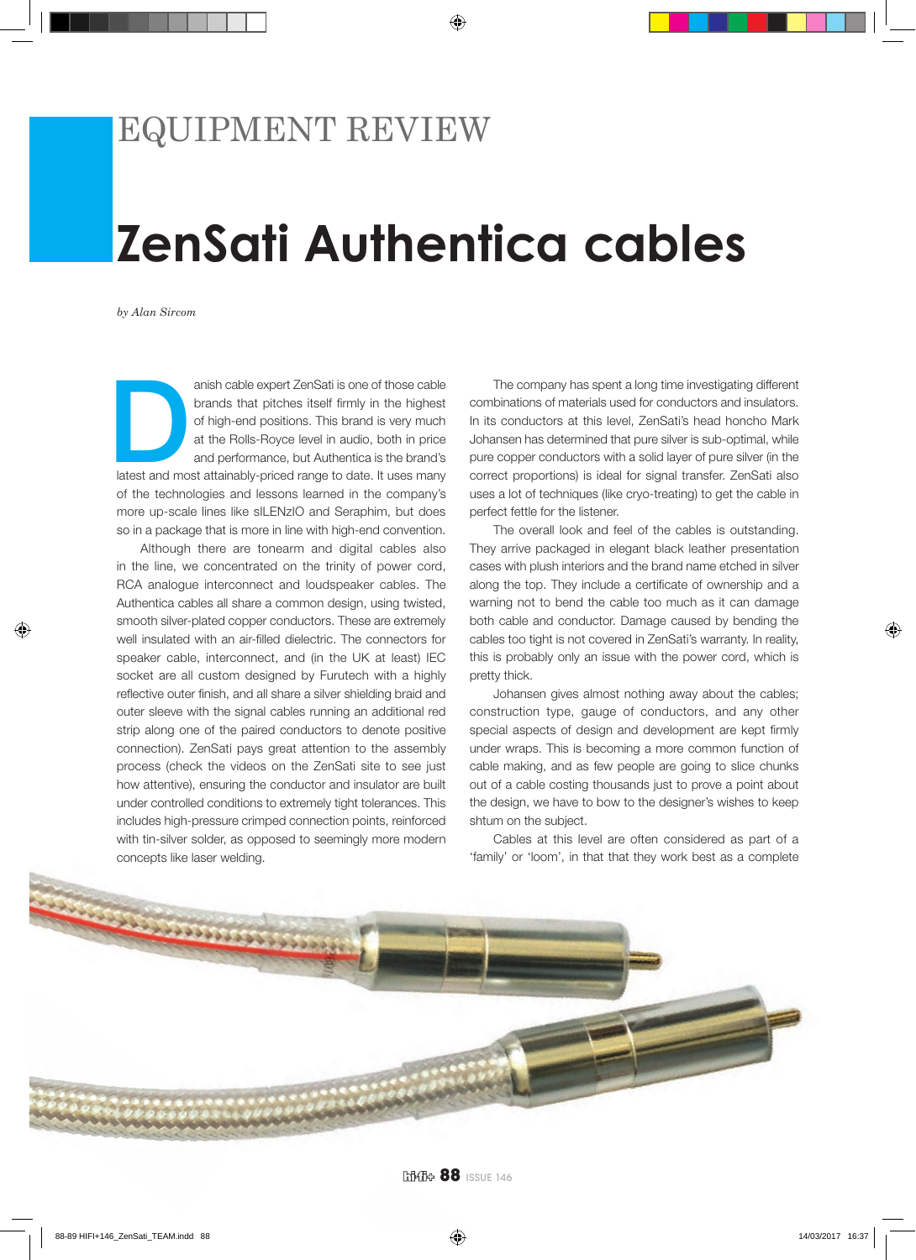## EQUIPMENT REVIEW

## **ZenSati Authentica cables**

*by Alan Sircom*

anish cable expert ZenSati is one of those cable<br>brands that pitches itself firmly in the highest<br>of high-end positions. This brand is very much<br>at the Rolls-Royce level in audio, both in price<br>and performance, but Authent brands that pitches itself firmly in the highest of high-end positions. This brand is very much at the Rolls-Royce level in audio, both in price and performance, but Authentica is the brand's of the technologies and lessons learned in the company's more up-scale lines like sILENzIO and Seraphim, but does so in a package that is more in line with high-end convention.

Although there are tonearm and digital cables also in the line, we concentrated on the trinity of power cord, RCA analogue interconnect and loudspeaker cables. The Authentica cables all share a common design, using twisted, smooth silver-plated copper conductors. These are extremely well insulated with an air-filled dielectric. The connectors for speaker cable, interconnect, and (in the UK at least) IEC socket are all custom designed by Furutech with a highly reflective outer finish, and all share a silver shielding braid and outer sleeve with the signal cables running an additional red strip along one of the paired conductors to denote positive connection). ZenSati pays great attention to the assembly process (check the videos on the ZenSati site to see just how attentive), ensuring the conductor and insulator are built under controlled conditions to extremely tight tolerances. This includes high-pressure crimped connection points, reinforced with tin-silver solder, as opposed to seemingly more modern concepts like laser welding.

The company has spent a long time investigating different combinations of materials used for conductors and insulators. In its conductors at this level, ZenSati's head honcho Mark Johansen has determined that pure silver is sub-optimal, while pure copper conductors with a solid layer of pure silver (in the correct proportions) is ideal for signal transfer. ZenSati also uses a lot of techniques (like cryo-treating) to get the cable in perfect fettle for the listener.

The overall look and feel of the cables is outstanding. They arrive packaged in elegant black leather presentation cases with plush interiors and the brand name etched in silver along the top. They include a certificate of ownership and a warning not to bend the cable too much as it can damage both cable and conductor. Damage caused by bending the cables too tight is not covered in ZenSati's warranty. In reality, this is probably only an issue with the power cord, which is pretty thick.

Johansen gives almost nothing away about the cables; construction type, gauge of conductors, and any other special aspects of design and development are kept firmly under wraps. This is becoming a more common function of cable making, and as few people are going to slice chunks out of a cable costing thousands just to prove a point about the design, we have to bow to the designer's wishes to keep shtum on the subject.

Cables at this level are often considered as part of a 'family' or 'loom', in that that they work best as a complete